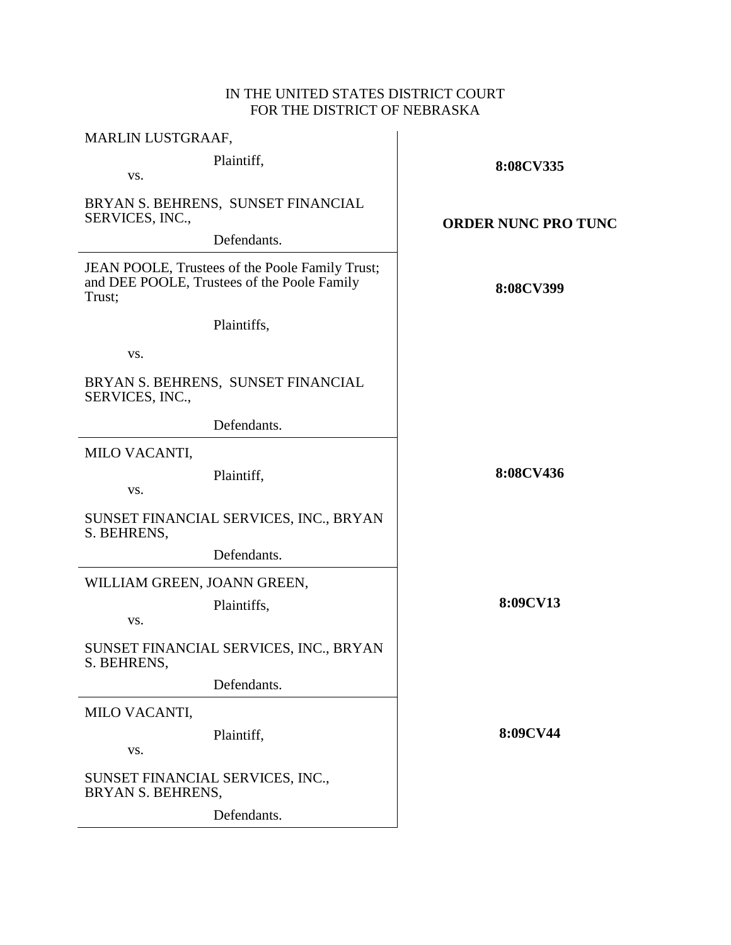## IN THE UNITED STATES DISTRICT COURT FOR THE DISTRICT OF NEBRASKA

| MARLIN LUSTGRAAF,                                                                                        |                            |
|----------------------------------------------------------------------------------------------------------|----------------------------|
| Plaintiff,<br>VS.                                                                                        | 8:08CV335                  |
| BRYAN S. BEHRENS, SUNSET FINANCIAL<br>SERVICES, INC.,                                                    | <b>ORDER NUNC PRO TUNC</b> |
| Defendants.                                                                                              |                            |
| JEAN POOLE, Trustees of the Poole Family Trust;<br>and DEE POOLE, Trustees of the Poole Family<br>Trust; | 8:08CV399                  |
| Plaintiffs,                                                                                              |                            |
| VS.                                                                                                      |                            |
| BRYAN S. BEHRENS, SUNSET FINANCIAL<br>SERVICES, INC.,                                                    |                            |
| Defendants.                                                                                              |                            |
| MILO VACANTI,                                                                                            |                            |
| Plaintiff,<br>VS.                                                                                        | 8:08CV436                  |
| SUNSET FINANCIAL SERVICES, INC., BRYAN<br>S. BEHRENS,                                                    |                            |
| Defendants.                                                                                              |                            |
| WILLIAM GREEN, JOANN GREEN,                                                                              |                            |
| Plaintiffs,<br>VS.                                                                                       | 8:09CV13                   |
| SUNSET FINANCIAL SERVICES, INC., BRYAN<br>S. BEHRENS,                                                    |                            |
| Defendants.                                                                                              |                            |
| MILO VACANTI,                                                                                            |                            |
| Plaintiff,<br>VS.                                                                                        | 8:09CV44                   |
| SUNSET FINANCIAL SERVICES, INC.,<br>BRYAN S. BEHRENS,                                                    |                            |
| Defendants.                                                                                              |                            |